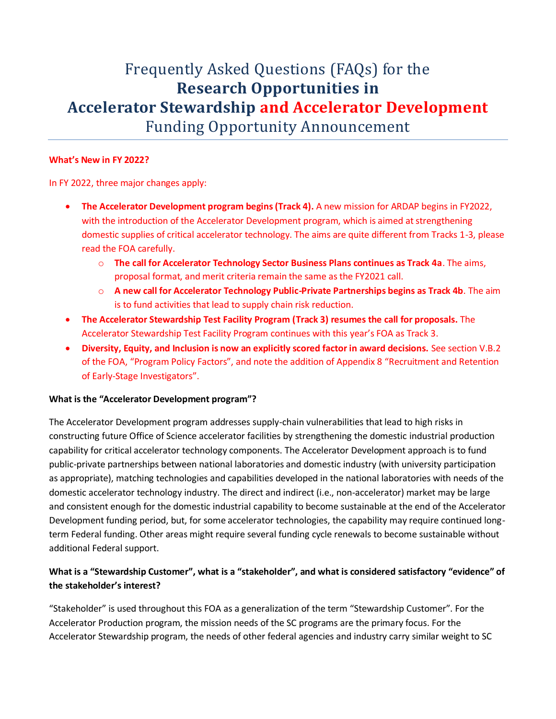# Frequently Asked Questions (FAQs) for the **Research Opportunities in Accelerator Stewardship and Accelerator Development** Funding Opportunity Announcement

### **What's New in FY 2022?**

In FY 2022, three major changes apply:

- **The Accelerator Development program begins (Track 4).** A new mission for ARDAP begins in FY2022, with the introduction of the Accelerator Development program, which is aimed at strengthening domestic supplies of critical accelerator technology. The aims are quite different from Tracks 1-3, please read the FOA carefully.
	- o **The call for Accelerator Technology Sector Business Plans continues as Track 4a**. The aims, proposal format, and merit criteria remain the same as the FY2021 call.
	- o **A new call for Accelerator Technology Public-Private Partnerships begins as Track 4b**. The aim is to fund activities that lead to supply chain risk reduction.
- **The Accelerator Stewardship Test Facility Program (Track 3) resumes the call for proposals.** The Accelerator Stewardship Test Facility Program continues with this year's FOA as Track 3.
- **Diversity, Equity, and Inclusion is now an explicitly scored factor in award decisions.** See section V.B.2 of the FOA, "Program Policy Factors", and note the addition of Appendix 8 "Recruitment and Retention of Early-Stage Investigators".

## **What is the "Accelerator Development program"?**

The Accelerator Development program addresses supply-chain vulnerabilities that lead to high risks in constructing future Office of Science accelerator facilities by strengthening the domestic industrial production capability for critical accelerator technology components. The Accelerator Development approach is to fund public-private partnerships between national laboratories and domestic industry (with university participation as appropriate), matching technologies and capabilities developed in the national laboratories with needs of the domestic accelerator technology industry. The direct and indirect (i.e., non-accelerator) market may be large and consistent enough for the domestic industrial capability to become sustainable at the end of the Accelerator Development funding period, but, for some accelerator technologies, the capability may require continued longterm Federal funding. Other areas might require several funding cycle renewals to become sustainable without additional Federal support.

# **What is a "Stewardship Customer", what is a "stakeholder", and what is considered satisfactory "evidence" of the stakeholder's interest?**

"Stakeholder" is used throughout this FOA as a generalization of the term "Stewardship Customer". For the Accelerator Production program, the mission needs of the SC programs are the primary focus. For the Accelerator Stewardship program, the needs of other federal agencies and industry carry similar weight to SC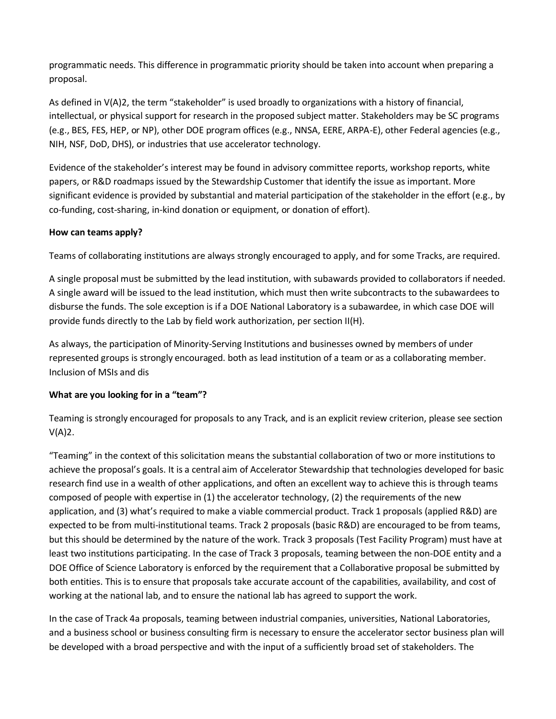programmatic needs. This difference in programmatic priority should be taken into account when preparing a proposal.

As defined in  $V(A)2$ , the term "stakeholder" is used broadly to organizations with a history of financial, intellectual, or physical support for research in the proposed subject matter. Stakeholders may be SC programs (e.g., BES, FES, HEP, or NP), other DOE program offices (e.g., NNSA, EERE, ARPA-E), other Federal agencies (e.g., NIH, NSF, DoD, DHS), or industries that use accelerator technology.

Evidence of the stakeholder's interest may be found in advisory committee reports, workshop reports, white papers, or R&D roadmaps issued by the Stewardship Customer that identify the issue as important. More significant evidence is provided by substantial and material participation of the stakeholder in the effort (e.g., by co-funding, cost-sharing, in-kind donation or equipment, or donation of effort).

## **How can teams apply?**

Teams of collaborating institutions are always strongly encouraged to apply, and for some Tracks, are required.

A single proposal must be submitted by the lead institution, with subawards provided to collaborators if needed. A single award will be issued to the lead institution, which must then write subcontracts to the subawardees to disburse the funds. The sole exception is if a DOE National Laboratory is a subawardee, in which case DOE will provide funds directly to the Lab by field work authorization, per section II(H).

As always, the participation of Minority-Serving Institutions and businesses owned by members of under represented groups is strongly encouraged. both as lead institution of a team or as a collaborating member. Inclusion of MSIs and dis

#### **What are you looking for in a "team"?**

Teaming is strongly encouraged for proposals to any Track, and is an explicit review criterion, please see section V(A)2.

"Teaming" in the context of this solicitation means the substantial collaboration of two or more institutions to achieve the proposal's goals. It is a central aim of Accelerator Stewardship that technologies developed for basic research find use in a wealth of other applications, and often an excellent way to achieve this is through teams composed of people with expertise in (1) the accelerator technology, (2) the requirements of the new application, and (3) what's required to make a viable commercial product. Track 1 proposals (applied R&D) are expected to be from multi-institutional teams. Track 2 proposals (basic R&D) are encouraged to be from teams, but this should be determined by the nature of the work. Track 3 proposals (Test Facility Program) must have at least two institutions participating. In the case of Track 3 proposals, teaming between the non-DOE entity and a DOE Office of Science Laboratory is enforced by the requirement that a Collaborative proposal be submitted by both entities. This is to ensure that proposals take accurate account of the capabilities, availability, and cost of working at the national lab, and to ensure the national lab has agreed to support the work.

In the case of Track 4a proposals, teaming between industrial companies, universities, National Laboratories, and a business school or business consulting firm is necessary to ensure the accelerator sector business plan will be developed with a broad perspective and with the input of a sufficiently broad set of stakeholders. The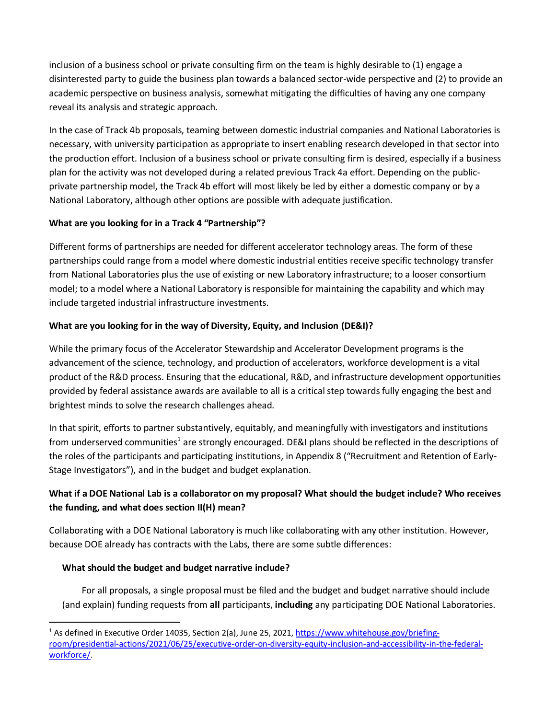inclusion of a business school or private consulting firm on the team is highly desirable to (1) engage a disinterested party to guide the business plan towards a balanced sector-wide perspective and (2) to provide an academic perspective on business analysis, somewhat mitigating the difficulties of having any one company reveal its analysis and strategic approach.

In the case of Track 4b proposals, teaming between domestic industrial companies and National Laboratories is necessary, with university participation as appropriate to insert enabling research developed in that sector into the production effort. Inclusion of a business school or private consulting firm is desired, especially if a business plan for the activity was not developed during a related previous Track 4a effort. Depending on the publicprivate partnership model, the Track 4b effort will most likely be led by either a domestic company or by a National Laboratory, although other options are possible with adequate justification.

## **What are you looking for in a Track 4 "Partnership"?**

Different forms of partnerships are needed for different accelerator technology areas. The form of these partnerships could range from a model where domestic industrial entities receive specific technology transfer from National Laboratories plus the use of existing or new Laboratory infrastructure; to a looser consortium model; to a model where a National Laboratory is responsible for maintaining the capability and which may include targeted industrial infrastructure investments.

## **What are you looking for in the way of Diversity, Equity, and Inclusion (DE&I)?**

While the primary focus of the Accelerator Stewardship and Accelerator Development programs is the advancement of the science, technology, and production of accelerators, workforce development is a vital product of the R&D process. Ensuring that the educational, R&D, and infrastructure development opportunities provided by federal assistance awards are available to all is a critical step towardsfully engaging the best and brightest minds to solve the research challenges ahead.

In that spirit, efforts to partner substantively, equitably, and meaningfully with investigators and institutions from underserved communities<sup>1</sup> are strongly encouraged. DE&I plans should be reflected in the descriptions of the roles of the participants and participating institutions, in Appendix 8 ("Recruitment and Retention of Early-Stage Investigators"), and in the budget and budget explanation.

# **What if a DOE National Lab is a collaborator on my proposal? What should the budget include? Who receives the funding, and what does section II(H) mean?**

Collaborating with a DOE National Laboratory is much like collaborating with any other institution. However, because DOE already has contracts with the Labs, there are some subtle differences:

## **What should the budget and budget narrative include?**

 $\overline{\phantom{a}}$ 

For all proposals, a single proposal must be filed and the budget and budget narrative should include (and explain) funding requests from **all** participants, **including** any participating DOE National Laboratories.

<sup>&</sup>lt;sup>1</sup> As defined in Executive Order 14035, Section 2(a), June 25, 2021, [https://www.whitehouse.gov/briefing](https://www.whitehouse.gov/briefing-room/presidential-actions/2021/06/25/executive-order-on-diversity-equity-inclusion-and-accessibility-in-the-federal-workforce/)[room/presidential-actions/2021/06/25/executive-order-on-diversity-equity-inclusion-and-accessibility-in-the-federal](https://www.whitehouse.gov/briefing-room/presidential-actions/2021/06/25/executive-order-on-diversity-equity-inclusion-and-accessibility-in-the-federal-workforce/)[workforce/.](https://www.whitehouse.gov/briefing-room/presidential-actions/2021/06/25/executive-order-on-diversity-equity-inclusion-and-accessibility-in-the-federal-workforce/)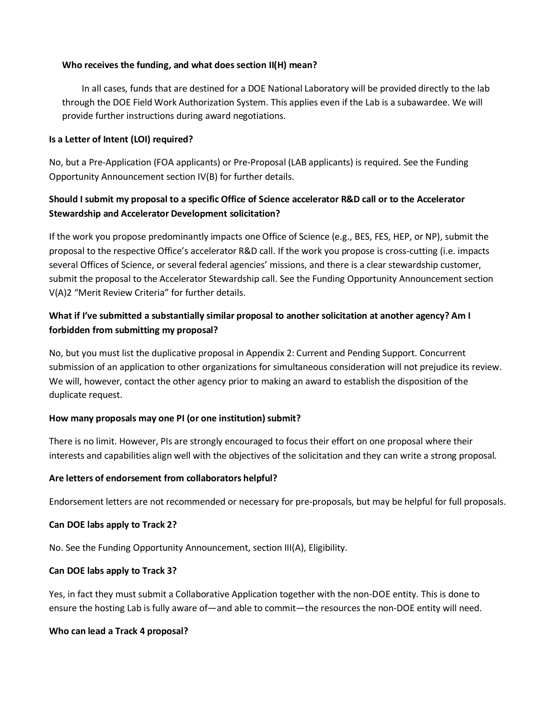#### **Who receives the funding, and what does section II(H) mean?**

In all cases, funds that are destined for a DOE National Laboratory will be provided directly to the lab through the DOE Field Work Authorization System. This applies even if the Lab is a subawardee. We will provide further instructions during award negotiations.

#### **Is a Letter of Intent (LOI) required?**

No, but a Pre-Application (FOA applicants) or Pre-Proposal (LAB applicants) is required. See the Funding Opportunity Announcement section IV(B) for further details.

# **Should I submit my proposal to a specific Office of Science accelerator R&D call or to the Accelerator Stewardship and Accelerator Development solicitation?**

If the work you propose predominantly impacts one Office of Science (e.g., BES, FES, HEP, or NP), submit the proposal to the respective Office's accelerator R&D call. If the work you propose is cross-cutting (i.e. impacts several Offices of Science, or several federal agencies' missions, and there is a clear stewardship customer, submit the proposal to the Accelerator Stewardship call. See the Funding Opportunity Announcement section V(A)2 "Merit Review Criteria" for further details.

## **What if I've submitted a substantially similar proposal to another solicitation at another agency? Am I forbidden from submitting my proposal?**

No, but you must list the duplicative proposal in Appendix 2: Current and Pending Support. Concurrent submission of an application to other organizations for simultaneous consideration will not prejudice its review. We will, however, contact the other agency prior to making an award to establish the disposition of the duplicate request.

#### **How many proposals may one PI (or one institution) submit?**

There is no limit. However, PIs are strongly encouraged to focus their effort on one proposal where their interests and capabilities align well with the objectives of the solicitation and they can write a strong proposal.

#### **Are letters of endorsement from collaborators helpful?**

Endorsement letters are not recommended or necessary for pre-proposals, but may be helpful for full proposals.

#### **Can DOE labs apply to Track 2?**

No. See the Funding Opportunity Announcement, section III(A), Eligibility.

#### **Can DOE labs apply to Track 3?**

Yes, in fact they must submit a Collaborative Application together with the non-DOE entity. This is done to ensure the hosting Lab is fully aware of—and able to commit—the resources the non-DOE entity will need.

#### **Who can lead a Track 4 proposal?**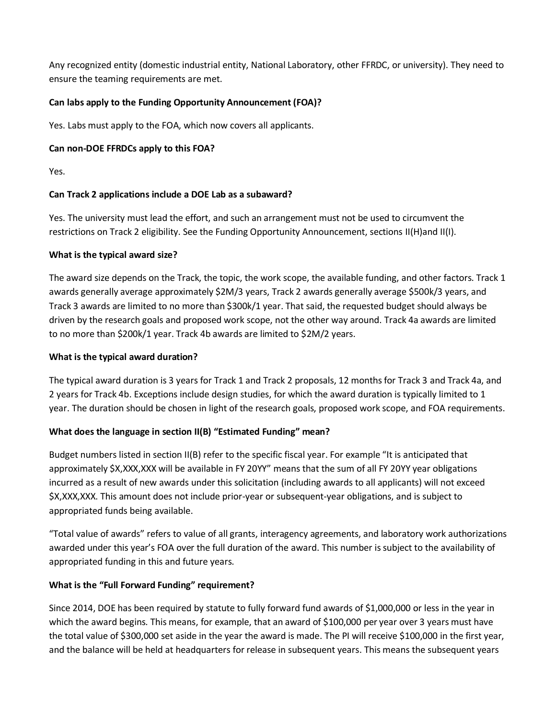Any recognized entity (domestic industrial entity, National Laboratory, other FFRDC, or university). They need to ensure the teaming requirements are met.

# **Can labs apply to the Funding Opportunity Announcement (FOA)?**

Yes. Labs must apply to the FOA, which now covers all applicants.

## **Can non-DOE FFRDCs apply to this FOA?**

Yes.

## **Can Track 2 applications include a DOE Lab as a subaward?**

Yes. The university must lead the effort, and such an arrangement must not be used to circumvent the restrictions on Track 2 eligibility. See the Funding Opportunity Announcement, sections II(H)and II(I).

## **What is the typical award size?**

The award size depends on the Track, the topic, the work scope, the available funding, and other factors. Track 1 awards generally average approximately \$2M/3 years, Track 2 awards generally average \$500k/3 years, and Track 3 awards are limited to no more than \$300k/1 year. That said, the requested budget should always be driven by the research goals and proposed work scope, not the other way around. Track 4a awards are limited to no more than \$200k/1 year. Track 4b awards are limited to \$2M/2 years.

## **What is the typical award duration?**

The typical award duration is 3 years for Track 1 and Track 2 proposals, 12 months for Track 3 and Track 4a, and 2 years for Track 4b. Exceptions include design studies, for which the award duration is typically limited to 1 year. The duration should be chosen in light of the research goals, proposed work scope, and FOA requirements.

# **What does the language in section II(B) "Estimated Funding" mean?**

Budget numbers listed in section II(B) refer to the specific fiscal year. For example "It is anticipated that approximately \$X,XXX,XXX will be available in FY 20YY" means that the sum of all FY 20YY year obligations incurred as a result of new awards under this solicitation (including awards to all applicants) will not exceed \$X,XXX,XXX. This amount does not include prior-year or subsequent-year obligations, and is subject to appropriated funds being available.

"Total value of awards" refers to value of all grants, interagency agreements, and laboratory work authorizations awarded under this year's FOA over the full duration of the award. This number is subject to the availability of appropriated funding in this and future years.

# **What is the "Full Forward Funding" requirement?**

Since 2014, DOE has been required by statute to fully forward fund awards of \$1,000,000 or less in the year in which the award begins. This means, for example, that an award of \$100,000 per year over 3 years must have the total value of \$300,000 set aside in the year the award is made. The PI will receive \$100,000 in the first year, and the balance will be held at headquarters for release in subsequent years. This means the subsequent years